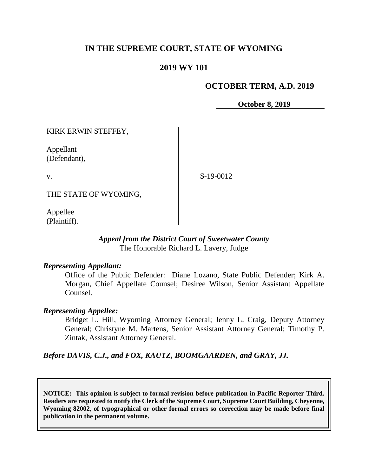# **IN THE SUPREME COURT, STATE OF WYOMING**

## **2019 WY 101**

## **OCTOBER TERM, A.D. 2019**

**October 8, 2019**

KIRK ERWIN STEFFEY,

Appellant (Defendant),

v.

S-19-0012

THE STATE OF WYOMING,

Appellee (Plaintiff).

### *Appeal from the District Court of Sweetwater County* The Honorable Richard L. Lavery, Judge

### *Representing Appellant:*

Office of the Public Defender: Diane Lozano, State Public Defender; Kirk A. Morgan, Chief Appellate Counsel; Desiree Wilson, Senior Assistant Appellate Counsel.

### *Representing Appellee:*

Bridget L. Hill, Wyoming Attorney General; Jenny L. Craig, Deputy Attorney General; Christyne M. Martens, Senior Assistant Attorney General; Timothy P. Zintak, Assistant Attorney General.

*Before DAVIS, C.J., and FOX, KAUTZ, BOOMGAARDEN, and GRAY, JJ.*

**NOTICE: This opinion is subject to formal revision before publication in Pacific Reporter Third. Readers are requested to notify the Clerk of the Supreme Court, Supreme Court Building, Cheyenne, Wyoming 82002, of typographical or other formal errors so correction may be made before final publication in the permanent volume.**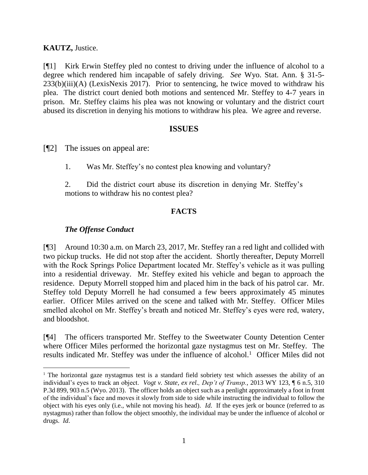**KAUTZ,** Justice.

[¶1] Kirk Erwin Steffey pled no contest to driving under the influence of alcohol to a degree which rendered him incapable of safely driving. *See* Wyo. Stat. Ann. § 31-5- 233(b)(iii)(A) (LexisNexis 2017). Prior to sentencing, he twice moved to withdraw his plea. The district court denied both motions and sentenced Mr. Steffey to 4-7 years in prison. Mr. Steffey claims his plea was not knowing or voluntary and the district court abused its discretion in denying his motions to withdraw his plea. We agree and reverse.

# **ISSUES**

[¶2] The issues on appeal are:

1. Was Mr. Steffey's no contest plea knowing and voluntary?

2. Did the district court abuse its discretion in denying Mr. Steffey's motions to withdraw his no contest plea?

# **FACTS**

# *The Offense Conduct*

l

[¶3] Around 10:30 a.m. on March 23, 2017, Mr. Steffey ran a red light and collided with two pickup trucks. He did not stop after the accident. Shortly thereafter, Deputy Morrell with the Rock Springs Police Department located Mr. Steffey's vehicle as it was pulling into a residential driveway. Mr. Steffey exited his vehicle and began to approach the residence. Deputy Morrell stopped him and placed him in the back of his patrol car. Mr. Steffey told Deputy Morrell he had consumed a few beers approximately 45 minutes earlier. Officer Miles arrived on the scene and talked with Mr. Steffey. Officer Miles smelled alcohol on Mr. Steffey's breath and noticed Mr. Steffey's eyes were red, watery, and bloodshot.

[¶4] The officers transported Mr. Steffey to the Sweetwater County Detention Center where Officer Miles performed the horizontal gaze nystagmus test on Mr. Steffey. The results indicated Mr. Steffey was under the influence of alcohol.<sup>1</sup> Officer Miles did not

<sup>&</sup>lt;sup>1</sup> The horizontal gaze nystagmus test is a standard field sobriety test which assesses the ability of an individual's eyes to track an object. *Vogt v. State, ex rel., Dep't of Transp.*, 2013 WY 123, ¶ 6 n.5, 310 P.3d 899, 903 n.5 (Wyo. 2013). The officer holds an object such as a penlight approximately a foot in front of the individual's face and moves it slowly from side to side while instructing the individual to follow the object with his eyes only (i.e., while not moving his head). *Id*. If the eyes jerk or bounce (referred to as nystagmus) rather than follow the object smoothly, the individual may be under the influence of alcohol or drugs. *Id*.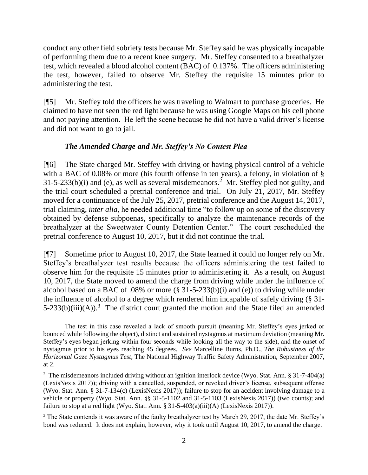conduct any other field sobriety tests because Mr. Steffey said he was physically incapable of performing them due to a recent knee surgery. Mr. Steffey consented to a breathalyzer test, which revealed a blood alcohol content (BAC) of 0.137%. The officers administering the test, however, failed to observe Mr. Steffey the requisite 15 minutes prior to administering the test.

[¶5] Mr. Steffey told the officers he was traveling to Walmart to purchase groceries. He claimed to have not seen the red light because he was using Google Maps on his cell phone and not paying attention. He left the scene because he did not have a valid driver's license and did not want to go to jail.

# *The Amended Charge and Mr. Steffey's No Contest Plea*

[¶6] The State charged Mr. Steffey with driving or having physical control of a vehicle with a BAC of 0.08% or more (his fourth offense in ten years), a felony, in violation of §  $31-5-233(b)(i)$  and (e), as well as several misdemeanors.<sup>2</sup> Mr. Steffey pled not guilty, and the trial court scheduled a pretrial conference and trial. On July 21, 2017, Mr. Steffey moved for a continuance of the July 25, 2017, pretrial conference and the August 14, 2017, trial claiming, *inter alia*, he needed additional time "to follow up on some of the discovery obtained by defense subpoenas, specifically to analyze the maintenance records of the breathalyzer at the Sweetwater County Detention Center." The court rescheduled the pretrial conference to August 10, 2017, but it did not continue the trial.

[¶7] Sometime prior to August 10, 2017, the State learned it could no longer rely on Mr. Steffey's breathalyzer test results because the officers administering the test failed to observe him for the requisite 15 minutes prior to administering it. As a result, on August 10, 2017, the State moved to amend the charge from driving while under the influence of alcohol based on a BAC of .08% or more  $(\S 31-5-233(b)(i)$  and  $(e)$ ) to driving while under the influence of alcohol to a degree which rendered him incapable of safely driving (§ 31-  $5-233(b)(iii)(A)$ .<sup>3</sup> The district court granted the motion and the State filed an amended

l The test in this case revealed a lack of smooth pursuit (meaning Mr. Steffey's eyes jerked or bounced while following the object), distinct and sustained nystagmus at maximum deviation (meaning Mr. Steffey's eyes began jerking within four seconds while looking all the way to the side), and the onset of nystagmus prior to his eyes reaching 45 degrees. *See* Marcelline Burns, Ph.D., *The Robustness of the Horizontal Gaze Nystagmus Test*, The National Highway Traffic Safety Administration, September 2007, at 2.

<sup>&</sup>lt;sup>2</sup> The misdemeanors included driving without an ignition interlock device (Wyo. Stat. Ann. § 31-7-404(a) (LexisNexis 2017)); driving with a cancelled, suspended, or revoked driver's license, subsequent offense (Wyo. Stat. Ann. § 31-7-134(c) (LexisNexis 2017)); failure to stop for an accident involving damage to a vehicle or property (Wyo. Stat. Ann. §§ 31-5-1102 and 31-5-1103 (LexisNexis 2017)) (two counts); and failure to stop at a red light (Wyo. Stat. Ann. § 31-5-403(a)(iii)(A) (LexisNexis 2017)).

<sup>&</sup>lt;sup>3</sup> The State contends it was aware of the faulty breathalyzer test by March 29, 2017, the date Mr. Steffey's bond was reduced. It does not explain, however, why it took until August 10, 2017, to amend the charge.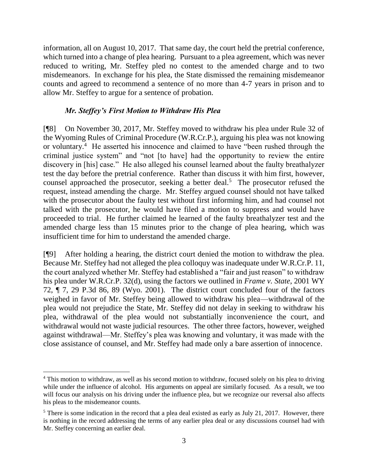information, all on August 10, 2017. That same day, the court held the pretrial conference, which turned into a change of plea hearing. Pursuant to a plea agreement, which was never reduced to writing, Mr. Steffey pled no contest to the amended charge and to two misdemeanors. In exchange for his plea, the State dismissed the remaining misdemeanor counts and agreed to recommend a sentence of no more than 4-7 years in prison and to allow Mr. Steffey to argue for a sentence of probation.

## *Mr. Steffey's First Motion to Withdraw His Plea*

[¶8] On November 30, 2017, Mr. Steffey moved to withdraw his plea under Rule 32 of the Wyoming Rules of Criminal Procedure (W.R.Cr.P.), arguing his plea was not knowing or voluntary.<sup>4</sup> He asserted his innocence and claimed to have "been rushed through the criminal justice system" and "not [to have] had the opportunity to review the entire discovery in [his] case." He also alleged his counsel learned about the faulty breathalyzer test the day before the pretrial conference. Rather than discuss it with him first, however, counsel approached the prosecutor, seeking a better deal.<sup>5</sup> The prosecutor refused the request, instead amending the charge. Mr. Steffey argued counsel should not have talked with the prosecutor about the faulty test without first informing him, and had counsel not talked with the prosecutor, he would have filed a motion to suppress and would have proceeded to trial. He further claimed he learned of the faulty breathalyzer test and the amended charge less than 15 minutes prior to the change of plea hearing, which was insufficient time for him to understand the amended charge.

[¶9] After holding a hearing, the district court denied the motion to withdraw the plea. Because Mr. Steffey had not alleged the plea colloquy was inadequate under W.R.Cr.P. 11, the court analyzed whether Mr. Steffey had established a "fair and just reason" to withdraw his plea under W.R.Cr.P. 32(d), using the factors we outlined in *Frame v. State*, 2001 WY 72, ¶ 7, 29 P.3d 86, 89 (Wyo. 2001). The district court concluded four of the factors weighed in favor of Mr. Steffey being allowed to withdraw his plea—withdrawal of the plea would not prejudice the State, Mr. Steffey did not delay in seeking to withdraw his plea, withdrawal of the plea would not substantially inconvenience the court, and withdrawal would not waste judicial resources. The other three factors, however, weighed against withdrawal—Mr. Steffey's plea was knowing and voluntary, it was made with the close assistance of counsel, and Mr. Steffey had made only a bare assertion of innocence.

 $\overline{a}$ 

<sup>&</sup>lt;sup>4</sup> This motion to withdraw, as well as his second motion to withdraw, focused solely on his plea to driving while under the influence of alcohol. His arguments on appeal are similarly focused. As a result, we too will focus our analysis on his driving under the influence plea, but we recognize our reversal also affects his pleas to the misdemeanor counts.

 $5$  There is some indication in the record that a plea deal existed as early as July 21, 2017. However, there is nothing in the record addressing the terms of any earlier plea deal or any discussions counsel had with Mr. Steffey concerning an earlier deal.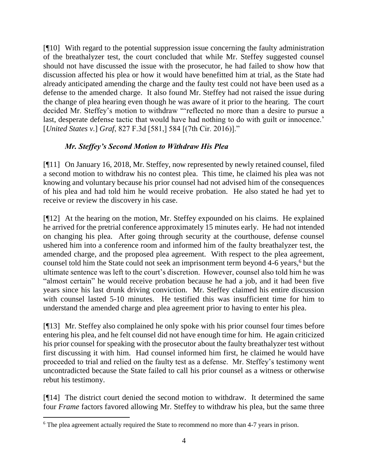[¶10] With regard to the potential suppression issue concerning the faulty administration of the breathalyzer test, the court concluded that while Mr. Steffey suggested counsel should not have discussed the issue with the prosecutor, he had failed to show how that discussion affected his plea or how it would have benefitted him at trial, as the State had already anticipated amending the charge and the faulty test could not have been used as a defense to the amended charge. It also found Mr. Steffey had not raised the issue during the change of plea hearing even though he was aware of it prior to the hearing. The court decided Mr. Steffey's motion to withdraw "'reflected no more than a desire to pursue a last, desperate defense tactic that would have had nothing to do with guilt or innocence.' [*United States v.*] *Graf*, 827 F.3d [581,] 584 [(7th Cir. 2016)]."

# *Mr. Steffey's Second Motion to Withdraw His Plea*

[¶11] On January 16, 2018, Mr. Steffey, now represented by newly retained counsel, filed a second motion to withdraw his no contest plea. This time, he claimed his plea was not knowing and voluntary because his prior counsel had not advised him of the consequences of his plea and had told him he would receive probation. He also stated he had yet to receive or review the discovery in his case.

[¶12] At the hearing on the motion, Mr. Steffey expounded on his claims. He explained he arrived for the pretrial conference approximately 15 minutes early. He had not intended on changing his plea. After going through security at the courthouse, defense counsel ushered him into a conference room and informed him of the faulty breathalyzer test, the amended charge, and the proposed plea agreement. With respect to the plea agreement, counsel told him the State could not seek an imprisonment term beyond 4-6 years, <sup>6</sup> but the ultimate sentence was left to the court's discretion. However, counsel also told him he was "almost certain" he would receive probation because he had a job, and it had been five years since his last drunk driving conviction. Mr. Steffey claimed his entire discussion with counsel lasted 5-10 minutes. He testified this was insufficient time for him to understand the amended charge and plea agreement prior to having to enter his plea.

[¶13] Mr. Steffey also complained he only spoke with his prior counsel four times before entering his plea, and he felt counsel did not have enough time for him. He again criticized his prior counsel for speaking with the prosecutor about the faulty breathalyzer test without first discussing it with him. Had counsel informed him first, he claimed he would have proceeded to trial and relied on the faulty test as a defense. Mr. Steffey's testimony went uncontradicted because the State failed to call his prior counsel as a witness or otherwise rebut his testimony.

[¶14] The district court denied the second motion to withdraw. It determined the same four *Frame* factors favored allowing Mr. Steffey to withdraw his plea, but the same three

l <sup>6</sup> The plea agreement actually required the State to recommend no more than 4-7 years in prison.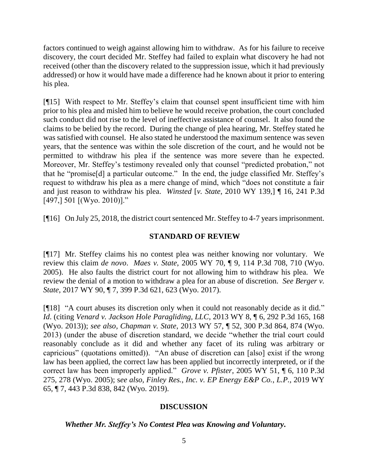factors continued to weigh against allowing him to withdraw. As for his failure to receive discovery, the court decided Mr. Steffey had failed to explain what discovery he had not received (other than the discovery related to the suppression issue, which it had previously addressed) or how it would have made a difference had he known about it prior to entering his plea.

[¶15] With respect to Mr. Steffey's claim that counsel spent insufficient time with him prior to his plea and misled him to believe he would receive probation, the court concluded such conduct did not rise to the level of ineffective assistance of counsel. It also found the claims to be belied by the record. During the change of plea hearing, Mr. Steffey stated he was satisfied with counsel. He also stated he understood the maximum sentence was seven years, that the sentence was within the sole discretion of the court, and he would not be permitted to withdraw his plea if the sentence was more severe than he expected. Moreover, Mr. Steffey's testimony revealed only that counsel "predicted probation," not that he "promise[d] a particular outcome." In the end, the judge classified Mr. Steffey's request to withdraw his plea as a mere change of mind, which "does not constitute a fair and just reason to withdraw his plea. *Winsted* [*v. State*, 2010 WY 139,] ¶ 16, 241 P.3d  $[497, 501]$   $[W$ yo. 2010)]."

[¶16] On July 25, 2018, the district court sentenced Mr. Steffey to 4-7 years imprisonment.

## **STANDARD OF REVIEW**

[¶17] Mr. Steffey claims his no contest plea was neither knowing nor voluntary. We review this claim *de novo*. *Maes v. State*, 2005 WY 70, ¶ 9, 114 P.3d 708, 710 (Wyo. 2005). He also faults the district court for not allowing him to withdraw his plea. We review the denial of a motion to withdraw a plea for an abuse of discretion. *See Berger v. State*, 2017 WY 90, ¶ 7, 399 P.3d 621, 623 (Wyo. 2017).

[¶18] "A court abuses its discretion only when it could not reasonably decide as it did." *Id*. (citing *Venard v. Jackson Hole Paragliding, LLC*, 2013 WY 8, ¶ 6, 292 P.3d 165, 168 (Wyo. 2013)); *see also, Chapman v. State*, 2013 WY 57, ¶ 52, 300 P.3d 864, 874 (Wyo. 2013) (under the abuse of discretion standard, we decide "whether the trial court could reasonably conclude as it did and whether any facet of its ruling was arbitrary or capricious" (quotations omitted)). "An abuse of discretion can [also] exist if the wrong law has been applied, the correct law has been applied but incorrectly interpreted, or if the correct law has been improperly applied." *Grove v. Pfister*, 2005 WY 51, ¶ 6, 110 P.3d 275, 278 (Wyo. 2005); s*ee also, Finley Res., Inc. v. EP Energy E&P Co.*, *L.P.,* 2019 WY 65, ¶ 7, 443 P.3d 838, 842 (Wyo. 2019).

# **DISCUSSION**

### *Whether Mr. Steffey's No Contest Plea was Knowing and Voluntary.*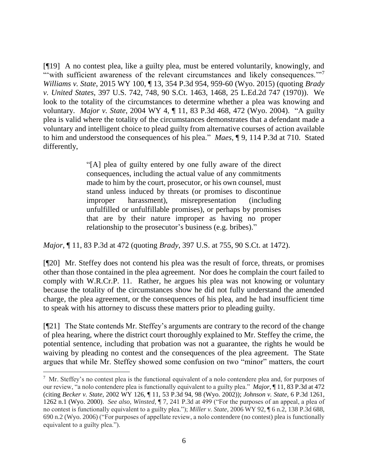[¶19] A no contest plea, like a guilty plea, must be entered voluntarily, knowingly, and "with sufficient awareness of the relevant circumstances and likely consequences."<sup>7</sup> *Williams v. State*, 2015 WY 100, ¶ 13, 354 P.3d 954, 959-60 (Wyo. 2015) (quoting *Brady v. United States*, 397 U.S. 742, 748, 90 S.Ct. 1463, 1468, 25 L.Ed.2d 747 (1970)). We look to the totality of the circumstances to determine whether a plea was knowing and voluntary. *Major v. State*, 2004 WY 4, ¶ 11, 83 P.3d 468, 472 (Wyo. 2004). "A guilty plea is valid where the totality of the circumstances demonstrates that a defendant made a voluntary and intelligent choice to plead guilty from alternative courses of action available to him and understood the consequences of his plea." *Maes*, ¶ 9, 114 P.3d at 710. Stated differently,

> "[A] plea of guilty entered by one fully aware of the direct consequences, including the actual value of any commitments made to him by the court, prosecutor, or his own counsel, must stand unless induced by threats (or promises to discontinue improper harassment), misrepresentation (including unfulfilled or unfulfillable promises), or perhaps by promises that are by their nature improper as having no proper relationship to the prosecutor's business (e.g. bribes)."

*Major*, ¶ 11, 83 P.3d at 472 (quoting *Brady*, 397 U.S. at 755, 90 S.Ct. at 1472).

[¶20] Mr. Steffey does not contend his plea was the result of force, threats, or promises other than those contained in the plea agreement. Nor does he complain the court failed to comply with W.R.Cr.P. 11. Rather, he argues his plea was not knowing or voluntary because the totality of the circumstances show he did not fully understand the amended charge, the plea agreement, or the consequences of his plea, and he had insufficient time to speak with his attorney to discuss these matters prior to pleading guilty.

[¶21] The State contends Mr. Steffey's arguments are contrary to the record of the change of plea hearing, where the district court thoroughly explained to Mr. Steffey the crime, the potential sentence, including that probation was not a guarantee, the rights he would be waiving by pleading no contest and the consequences of the plea agreement. The State argues that while Mr. Steffey showed some confusion on two "minor" matters, the court

 $\overline{a}$ 

 $\frac{7}{1}$  Mr. Steffey's no contest plea is the functional equivalent of a nolo contendere plea and, for purposes of our review, "a nolo contendere plea is functionally equivalent to a guilty plea." *Major*, ¶ 11, 83 P.3d at 472 (citing *Becker v. State*, 2002 WY 126, ¶ 11, 53 P.3d 94, 98 (Wyo. 2002)); *Johnson v. State*, 6 P.3d 1261, 1262 n.1 (Wyo. 2000). *See also, Winsted*, ¶ 7, 241 P.3d at 499 ("For the purposes of an appeal, a plea of no contest is functionally equivalent to a guilty plea."); *Miller v. State*, 2006 WY 92, ¶ 6 n.2, 138 P.3d 688, 690 n.2 (Wyo. 2006) ("For purposes of appellate review, a nolo contendere (no contest) plea is functionally equivalent to a guilty plea.").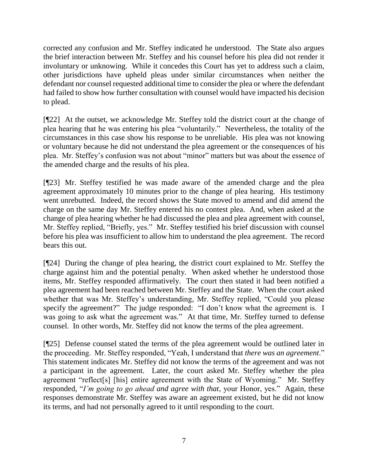corrected any confusion and Mr. Steffey indicated he understood. The State also argues the brief interaction between Mr. Steffey and his counsel before his plea did not render it involuntary or unknowing. While it concedes this Court has yet to address such a claim, other jurisdictions have upheld pleas under similar circumstances when neither the defendant nor counsel requested additional time to consider the plea or where the defendant had failed to show how further consultation with counsel would have impacted his decision to plead.

[¶22] At the outset, we acknowledge Mr. Steffey told the district court at the change of plea hearing that he was entering his plea "voluntarily." Nevertheless, the totality of the circumstances in this case show his response to be unreliable. His plea was not knowing or voluntary because he did not understand the plea agreement or the consequences of his plea. Mr. Steffey's confusion was not about "minor" matters but was about the essence of the amended charge and the results of his plea.

[¶23] Mr. Steffey testified he was made aware of the amended charge and the plea agreement approximately 10 minutes prior to the change of plea hearing. His testimony went unrebutted. Indeed, the record shows the State moved to amend and did amend the charge on the same day Mr. Steffey entered his no contest plea. And, when asked at the change of plea hearing whether he had discussed the plea and plea agreement with counsel, Mr. Steffey replied, "Briefly, yes." Mr. Steffey testified his brief discussion with counsel before his plea was insufficient to allow him to understand the plea agreement. The record bears this out.

[¶24] During the change of plea hearing, the district court explained to Mr. Steffey the charge against him and the potential penalty. When asked whether he understood those items, Mr. Steffey responded affirmatively. The court then stated it had been notified a plea agreement had been reached between Mr. Steffey and the State. When the court asked whether that was Mr. Steffey's understanding, Mr. Steffey replied, "Could you please specify the agreement?" The judge responded: "I don't know what the agreement is. I was going to ask what the agreement was." At that time, Mr. Steffey turned to defense counsel. In other words, Mr. Steffey did not know the terms of the plea agreement.

[¶25] Defense counsel stated the terms of the plea agreement would be outlined later in the proceeding. Mr. Steffey responded, "Yeah, I understand that *there was an agreement*." This statement indicates Mr. Steffey did not know the terms of the agreement and was not a participant in the agreement. Later, the court asked Mr. Steffey whether the plea agreement "reflect[s] [his] entire agreement with the State of Wyoming." Mr. Steffey responded, "*I'm going to go ahead and agree with that*, your Honor, yes." Again, these responses demonstrate Mr. Steffey was aware an agreement existed, but he did not know its terms, and had not personally agreed to it until responding to the court.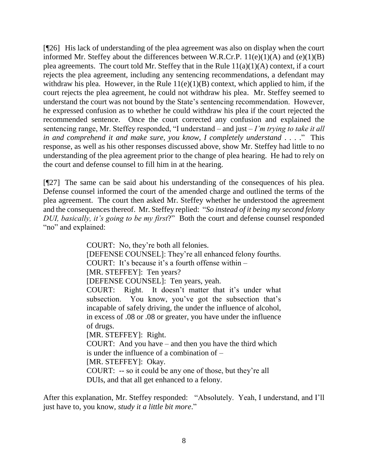[¶26] His lack of understanding of the plea agreement was also on display when the court informed Mr. Steffey about the differences between W.R.Cr.P.  $11(e)(1)(A)$  and  $(e)(1)(B)$ plea agreements. The court told Mr. Steffey that in the Rule  $11(a)(1)(A)$  context, if a court rejects the plea agreement, including any sentencing recommendations, a defendant may withdraw his plea. However, in the Rule  $11(e)(1)(B)$  context, which applied to him, if the court rejects the plea agreement, he could not withdraw his plea. Mr. Steffey seemed to understand the court was not bound by the State's sentencing recommendation. However, he expressed confusion as to whether he could withdraw his plea if the court rejected the recommended sentence. Once the court corrected any confusion and explained the sentencing range, Mr. Steffey responded, "I understand – and just – *I'm trying to take it all in and comprehend it and make sure, you know, I completely understand* . . . ." This response, as well as his other responses discussed above, show Mr. Steffey had little to no understanding of the plea agreement prior to the change of plea hearing. He had to rely on the court and defense counsel to fill him in at the hearing.

[¶27] The same can be said about his understanding of the consequences of his plea. Defense counsel informed the court of the amended charge and outlined the terms of the plea agreement. The court then asked Mr. Steffey whether he understood the agreement and the consequences thereof. Mr. Steffey replied: "*So instead of it being my second felony DUI, basically, it's going to be my first*?" Both the court and defense counsel responded "no" and explained:

> COURT: No, they're both all felonies. [DEFENSE COUNSEL]: They're all enhanced felony fourths. COURT: It's because it's a fourth offense within – [MR. STEFFEY]: Ten years? [DEFENSE COUNSEL]: Ten years, yeah. COURT: Right. It doesn't matter that it's under what subsection. You know, you've got the subsection that's incapable of safely driving, the under the influence of alcohol, in excess of .08 or .08 or greater, you have under the influence of drugs. [MR. STEFFEY]: Right. COURT: And you have – and then you have the third which is under the influence of a combination of – [MR. STEFFEY]: Okay. COURT: -- so it could be any one of those, but they're all DUIs, and that all get enhanced to a felony.

After this explanation, Mr. Steffey responded: "Absolutely. Yeah, I understand, and I'll just have to, you know, *study it a little bit more*."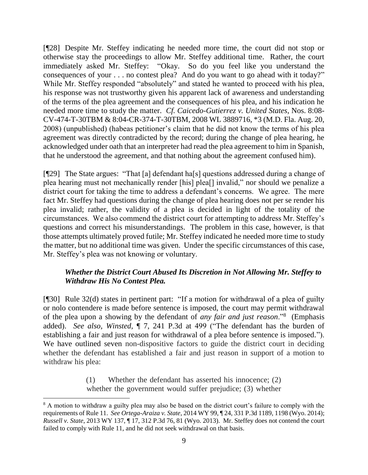[¶28] Despite Mr. Steffey indicating he needed more time, the court did not stop or otherwise stay the proceedings to allow Mr. Steffey additional time. Rather, the court immediately asked Mr. Steffey: "Okay. So do you feel like you understand the consequences of your . . . no contest plea? And do you want to go ahead with it today?" While Mr. Steffey responded "absolutely" and stated he wanted to proceed with his plea, his response was not trustworthy given his apparent lack of awareness and understanding of the terms of the plea agreement and the consequences of his plea, and his indication he needed more time to study the matter. *Cf. Caicedo-Gutierrez v. United States*, Nos. 8:08- CV-474-T-30TBM & 8:04-CR-374-T-30TBM, 2008 WL 3889716, \*3 (M.D. Fla. Aug. 20, 2008) (unpublished) (habeas petitioner's claim that he did not know the terms of his plea agreement was directly contradicted by the record; during the change of plea hearing, he acknowledged under oath that an interpreter had read the plea agreement to him in Spanish, that he understood the agreement, and that nothing about the agreement confused him).

[¶29] The State argues: "That [a] defendant ha[s] questions addressed during a change of plea hearing must not mechanically render [his] plea[] invalid," nor should we penalize a district court for taking the time to address a defendant's concerns. We agree. The mere fact Mr. Steffey had questions during the change of plea hearing does not per se render his plea invalid; rather, the validity of a plea is decided in light of the totality of the circumstances. We also commend the district court for attempting to address Mr. Steffey's questions and correct his misunderstandings. The problem in this case, however, is that those attempts ultimately proved futile; Mr. Steffey indicated he needed more time to study the matter, but no additional time was given. Under the specific circumstances of this case, Mr. Steffey's plea was not knowing or voluntary.

# *Whether the District Court Abused Its Discretion in Not Allowing Mr. Steffey to Withdraw His No Contest Plea.*

[¶30] Rule 32(d) states in pertinent part: "If a motion for withdrawal of a plea of guilty or nolo contendere is made before sentence is imposed, the court may permit withdrawal of the plea upon a showing by the defendant of *any fair and just reason*."<sup>8</sup> (Emphasis added). *See also, Winsted*, ¶ 7, 241 P.3d at 499 ("The defendant has the burden of establishing a fair and just reason for withdrawal of a plea before sentence is imposed."). We have outlined seven non-dispositive factors to guide the district court in deciding whether the defendant has established a fair and just reason in support of a motion to withdraw his plea:

> (1) Whether the defendant has asserted his innocence; (2) whether the government would suffer prejudice; (3) whether

<sup>&</sup>lt;sup>8</sup> A motion to withdraw a guilty plea may also be based on the district court's failure to comply with the requirements of Rule 11. *See Ortega-Araiza v. State*, 2014 WY 99, ¶ 24, 331 P.3d 1189, 1198 (Wyo. 2014); *Russell v. State*, 2013 WY 137, ¶ 17, 312 P.3d 76, 81 (Wyo. 2013). Mr. Steffey does not contend the court failed to comply with Rule 11, and he did not seek withdrawal on that basis.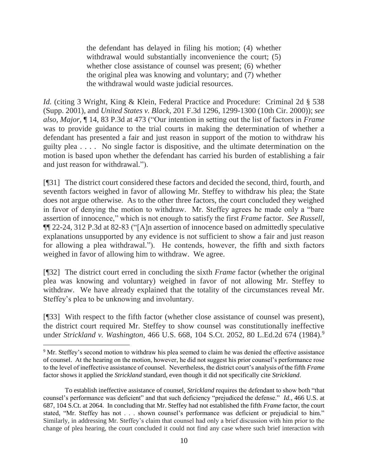the defendant has delayed in filing his motion; (4) whether withdrawal would substantially inconvenience the court; (5) whether close assistance of counsel was present; (6) whether the original plea was knowing and voluntary; and (7) whether the withdrawal would waste judicial resources.

*Id.* (citing 3 Wright, King & Klein, Federal Practice and Procedure: Criminal 2d § 538 (Supp. 2001), and *United States v. Black*, 201 F.3d 1296, 1299-1300 (10th Cir. 2000)); *see also, Major*, ¶ 14, 83 P.3d at 473 ("Our intention in setting out the list of factors in *Frame* was to provide guidance to the trial courts in making the determination of whether a defendant has presented a fair and just reason in support of the motion to withdraw his guilty plea . . . . No single factor is dispositive, and the ultimate determination on the motion is based upon whether the defendant has carried his burden of establishing a fair and just reason for withdrawal.").

[¶31] The district court considered these factors and decided the second, third, fourth, and seventh factors weighed in favor of allowing Mr. Steffey to withdraw his plea; the State does not argue otherwise. As to the other three factors, the court concluded they weighed in favor of denying the motion to withdraw. Mr. Steffey agrees he made only a "bare assertion of innocence," which is not enough to satisfy the first *Frame* factor. *See Russell*, ¶¶ 22-24, 312 P.3d at 82-83 ("[A]n assertion of innocence based on admittedly speculative explanations unsupported by any evidence is not sufficient to show a fair and just reason for allowing a plea withdrawal."). He contends, however, the fifth and sixth factors weighed in favor of allowing him to withdraw. We agree.

[¶32] The district court erred in concluding the sixth *Frame* factor (whether the original plea was knowing and voluntary) weighed in favor of not allowing Mr. Steffey to withdraw. We have already explained that the totality of the circumstances reveal Mr. Steffey's plea to be unknowing and involuntary.

[¶33] With respect to the fifth factor (whether close assistance of counsel was present), the district court required Mr. Steffey to show counsel was constitutionally ineffective under *Strickland v. Washington*, 466 U.S. 668, 104 S.Ct. 2052, 80 L.Ed.2d 674 (1984). 9

<sup>&</sup>lt;sup>9</sup> Mr. Steffey's second motion to withdraw his plea seemed to claim he was denied the effective assistance of counsel. At the hearing on the motion, however, he did not suggest his prior counsel's performance rose to the level of ineffective assistance of counsel. Nevertheless, the district court's analysis of the fifth *Frame* factor shows it applied the *Strickland* standard, even though it did not specifically cite *Strickland*.

To establish ineffective assistance of counsel, *Strickland* requires the defendant to show both "that counsel's performance was deficient" and that such deficiency "prejudiced the defense." *Id.*, 466 U.S. at 687, 104 S.Ct. at 2064. In concluding that Mr. Steffey had not established the fifth *Frame* factor, the court stated, "Mr. Steffey has not . . . shown counsel's performance was deficient or prejudicial to him." Similarly, in addressing Mr. Steffey's claim that counsel had only a brief discussion with him prior to the change of plea hearing, the court concluded it could not find any case where such brief interaction with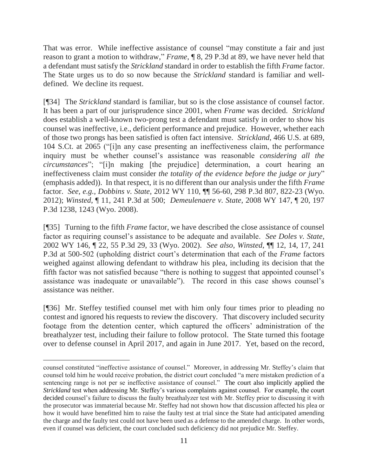That was error. While ineffective assistance of counsel "may constitute a fair and just reason to grant a motion to withdraw," *Frame*, ¶ 8, 29 P.3d at 89, we have never held that a defendant must satisfy the *Strickland* standard in order to establish the fifth *Frame* factor. The State urges us to do so now because the *Strickland* standard is familiar and welldefined. We decline its request.

[¶34] The *Strickland* standard is familiar, but so is the close assistance of counsel factor. It has been a part of our jurisprudence since 2001, when *Frame* was decided. *Strickland* does establish a well-known two-prong test a defendant must satisfy in order to show his counsel was ineffective, i.e., deficient performance and prejudice. However, whether each of those two prongs has been satisfied is often fact intensive. *Strickland*, 466 U.S. at 689, 104 S.Ct. at 2065 ("[i]n any case presenting an ineffectiveness claim, the performance inquiry must be whether counsel's assistance was reasonable *considering all the circumstances*"; "[i]n making [the prejudice] determination, a court hearing an ineffectiveness claim must consider *the totality of the evidence before the judge or jury*" (emphasis added)). In that respect, it is no different than our analysis under the fifth *Frame* factor. *See, e.g., Dobbins v. State*, 2012 WY 110, ¶¶ 56-60, 298 P.3d 807, 822-23 (Wyo. 2012); *Winsted*, ¶ 11, 241 P.3d at 500; *Demeulenaere v. State*, 2008 WY 147, ¶ 20, 197 P.3d 1238, 1243 (Wyo. 2008).

[¶35] Turning to the fifth *Frame* factor, we have described the close assistance of counsel factor as requiring counsel's assistance to be adequate and available. *See Doles v. State*, 2002 WY 146, ¶ 22, 55 P.3d 29, 33 (Wyo. 2002). *See also, Winsted*, ¶¶ 12, 14, 17, 241 P.3d at 500-502 (upholding district court's determination that each of the *Frame* factors weighed against allowing defendant to withdraw his plea, including its decision that the fifth factor was not satisfied because "there is nothing to suggest that appointed counsel's assistance was inadequate or unavailable"). The record in this case shows counsel's assistance was neither.

[¶36] Mr. Steffey testified counsel met with him only four times prior to pleading no contest and ignored his requests to review the discovery. That discovery included security footage from the detention center, which captured the officers' administration of the breathalyzer test, including their failure to follow protocol. The State turned this footage over to defense counsel in April 2017, and again in June 2017. Yet, based on the record,

l

counsel constituted "ineffective assistance of counsel." Moreover, in addressing Mr. Steffey's claim that counsel told him he would receive probation, the district court concluded "a mere mistaken prediction of a sentencing range is not per se ineffective assistance of counsel." The court also implicitly applied the *Strickland* test when addressing Mr. Steffey's various complaints against counsel. For example, the court decided counsel's failure to discuss the faulty breathalyzer test with Mr. Steffey prior to discussing it with the prosecutor was immaterial because Mr. Steffey had not shown how that discussion affected his plea or how it would have benefitted him to raise the faulty test at trial since the State had anticipated amending the charge and the faulty test could not have been used as a defense to the amended charge. In other words, even if counsel was deficient, the court concluded such deficiency did not prejudice Mr. Steffey.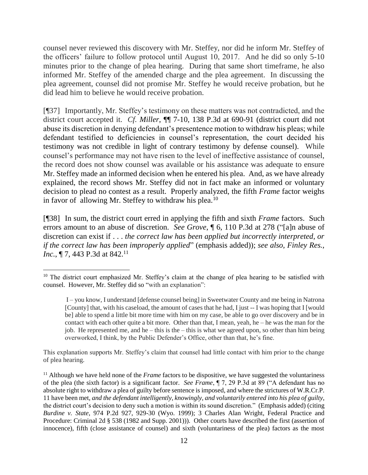counsel never reviewed this discovery with Mr. Steffey, nor did he inform Mr. Steffey of the officers' failure to follow protocol until August 10, 2017. And he did so only 5-10 minutes prior to the change of plea hearing. During that same short timeframe, he also informed Mr. Steffey of the amended charge and the plea agreement. In discussing the plea agreement, counsel did not promise Mr. Steffey he would receive probation, but he did lead him to believe he would receive probation.

[¶37] Importantly, Mr. Steffey's testimony on these matters was not contradicted, and the district court accepted it. *Cf. Miller*, ¶¶ 7-10, 138 P.3d at 690-91 (district court did not abuse its discretion in denying defendant's presentence motion to withdraw his pleas; while defendant testified to deficiencies in counsel's representation, the court decided his testimony was not credible in light of contrary testimony by defense counsel). While counsel's performance may not have risen to the level of ineffective assistance of counsel, the record does not show counsel was available or his assistance was adequate to ensure Mr. Steffey made an informed decision when he entered his plea. And, as we have already explained, the record shows Mr. Steffey did not in fact make an informed or voluntary decision to plead no contest as a result. Properly analyzed, the fifth *Frame* factor weighs in favor of allowing Mr. Steffey to withdraw his plea.<sup>10</sup>

[¶38] In sum, the district court erred in applying the fifth and sixth *Frame* factors. Such errors amount to an abuse of discretion. *See Grove*, ¶ 6, 110 P.3d at 278 ("[a]n abuse of discretion can exist if . . . *the correct law has been applied but incorrectly interpreted, or if the correct law has been improperly applied*" (emphasis added)); *see also, Finley Res., Inc.*, ¶ 7, 443 P.3d at 842.<sup>11</sup>

This explanation supports Mr. Steffey's claim that counsel had little contact with him prior to the change of plea hearing.

 $\overline{a}$ <sup>10</sup> The district court emphasized Mr. Steffey's claim at the change of plea hearing to be satisfied with counsel. However, Mr. Steffey did so "with an explanation":

I – you know, I understand [defense counsel being] in Sweetwater County and me being in Natrona [County] that, with his caseload, the amount of cases that he had, I just -- I was hoping that I [would be] able to spend a little bit more time with him on my case, be able to go over discovery and be in contact with each other quite a bit more. Other than that, I mean, yeah, he  $-$  he was the man for the job. He represented me, and he – this is the – this is what we agreed upon, so other than him being overworked, I think, by the Public Defender's Office, other than that, he's fine.

<sup>&</sup>lt;sup>11</sup> Although we have held none of the *Frame* factors to be dispositive, we have suggested the voluntariness of the plea (the sixth factor) is a significant factor. *See Frame*, ¶ 7, 29 P.3d at 89 ("A defendant has no absolute right to withdraw a plea of guilty before sentence is imposed, and where the strictures of W.R.Cr.P. 11 have been met, *and the defendant intelligently, knowingly, and voluntarily entered into his plea of guilty*, the district court's decision to deny such a motion is within its sound discretion." (Emphasis added) (citing *Burdine v. State*, 974 P.2d 927, 929-30 (Wyo. 1999); 3 Charles Alan Wright, Federal Practice and Procedure: Criminal 2d § 538 (1982 and Supp. 2001))). Other courts have described the first (assertion of innocence), fifth (close assistance of counsel) and sixth (voluntariness of the plea) factors as the most